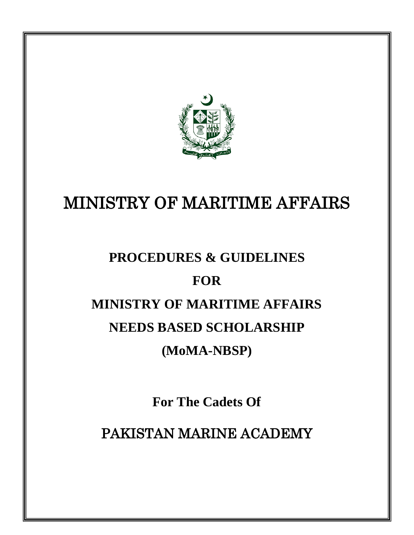

# MINISTRY OF MARITIME AFFAIRS

# **PROCEDURES & GUIDELINES**

# **FOR**

# **MINISTRY OF MARITIME AFFAIRS**

# **NEEDS BASED SCHOLARSHIP**

# **(MoMA-NBSP)**

**For The Cadets Of** 

PAKISTAN MARINE ACADEMY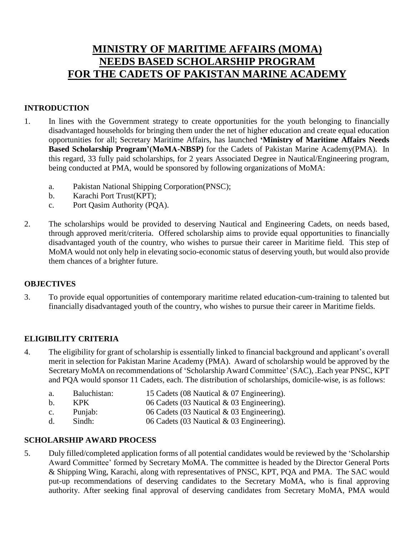# **MINISTRY OF MARITIME AFFAIRS (MOMA) NEEDS BASED SCHOLARSHIP PROGRAM FOR THE CADETS OF PAKISTAN MARINE ACADEMY**

### **INTRODUCTION**

- 1. In lines with the Government strategy to create opportunities for the youth belonging to financially disadvantaged households for bringing them under the net of higher education and create equal education opportunities for all; Secretary Maritime Affairs, has launched **'Ministry of Maritime Affairs Needs Based Scholarship Program'(MoMA-NBSP)** for the Cadets of Pakistan Marine Academy(PMA). In this regard, 33 fully paid scholarships, for 2 years Associated Degree in Nautical/Engineering program, being conducted at PMA, would be sponsored by following organizations of MoMA:
	- a. Pakistan National Shipping Corporation(PNSC);
	- b. Karachi Port Trust(KPT);
	- c. Port Qasim Authority (PQA).
- 2. The scholarships would be provided to deserving Nautical and Engineering Cadets, on needs based, through approved merit/criteria. Offered scholarship aims to provide equal opportunities to financially disadvantaged youth of the country, who wishes to pursue their career in Maritime field. This step of MoMA would not only help in elevating socio-economic status of deserving youth, but would also provide them chances of a brighter future.

### **OBJECTIVES**

3. To provide equal opportunities of contemporary maritime related education-cum-training to talented but financially disadvantaged youth of the country, who wishes to pursue their career in Maritime fields.

### **ELIGIBILITY CRITERIA**

- 4. The eligibility for grant of scholarship is essentially linked to financial background and applicant's overall merit in selection for Pakistan Marine Academy (PMA). Award of scholarship would be approved by the Secretary MoMA on recommendations of 'Scholarship Award Committee' (SAC), .Each year PNSC, KPT and PQA would sponsor 11 Cadets, each. The distribution of scholarships, domicile-wise, is as follows:
	- a. Baluchistan: 15 Cadets (08 Nautical & 07 Engineering).
	- b. KPK 06 Cadets (03 Nautical & 03 Engineering).
	- c. Punjab: 06 Cadets (03 Nautical & 03 Engineering).
	- d. Sindh: 06 Cadets (03 Nautical & 03 Engineering).

### **SCHOLARSHIP AWARD PROCESS**

5. Duly filled/completed application forms of all potential candidates would be reviewed by the 'Scholarship Award Committee' formed by Secretary MoMA. The committee is headed by the Director General Ports & Shipping Wing, Karachi, along with representatives of PNSC, KPT, PQA and PMA. The SAC would put-up recommendations of deserving candidates to the Secretary MoMA, who is final approving authority. After seeking final approval of deserving candidates from Secretary MoMA, PMA would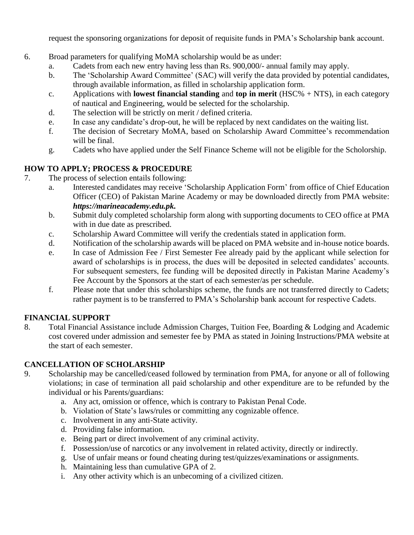request the sponsoring organizations for deposit of requisite funds in PMA's Scholarship bank account.

- 6. Broad parameters for qualifying MoMA scholarship would be as under:
	- a. Cadets from each new entry having less than Rs. 900,000/- annual family may apply.
	- b. The 'Scholarship Award Committee' (SAC) will verify the data provided by potential candidates, through available information, as filled in scholarship application form.
	- c. Applications with **lowest financial standing** and **top in merit** (HSC% + NTS), in each category of nautical and Engineering, would be selected for the scholarship.
	- d. The selection will be strictly on merit / defined criteria.
	- e. In case any candidate's drop-out, he will be replaced by next candidates on the waiting list.
	- f. The decision of Secretary MoMA, based on Scholarship Award Committee's recommendation will be final.
	- g. Cadets who have applied under the Self Finance Scheme will not be eligible for the Scholorship.

### **HOW TO APPLY; PROCESS & PROCEDURE**

- 7. The process of selection entails following:
	- a. Interested candidates may receive 'Scholarship Application Form' from office of Chief Education Officer (CEO) of Pakistan Marine Academy or may be downloaded directly from PMA website: *https://marineacademy.edu.pk.*
	- b. Submit duly completed scholarship form along with supporting documents to CEO office at PMA with in due date as prescribed.
	- c. Scholarship Award Committee will verify the credentials stated in application form.
	- d. Notification of the scholarship awards will be placed on PMA website and in-house notice boards.
	- e. In case of Admission Fee / First Semester Fee already paid by the applicant while selection for award of scholarships is in process, the dues will be deposited in selected candidates' accounts. For subsequent semesters, fee funding will be deposited directly in Pakistan Marine Academy's Fee Account by the Sponsors at the start of each semester/as per schedule.
	- f. Please note that under this scholarships scheme, the funds are not transferred directly to Cadets; rather payment is to be transferred to PMA's Scholarship bank account for respective Cadets.

### **FINANCIAL SUPPORT**

8. Total Financial Assistance include Admission Charges, Tuition Fee, Boarding & Lodging and Academic cost covered under admission and semester fee by PMA as stated in Joining Instructions/PMA website at the start of each semester.

### **CANCELLATION OF SCHOLARSHIP**

- 9. Scholarship may be cancelled/ceased followed by termination from PMA, for anyone or all of following violations; in case of termination all paid scholarship and other expenditure are to be refunded by the individual or his Parents/guardians:
	- a. Any act, omission or offence, which is contrary to Pakistan Penal Code.
	- b. Violation of State's laws/rules or committing any cognizable offence.
	- c. Involvement in any anti-State activity.
	- d. Providing false information.
	- e. Being part or direct involvement of any criminal activity.
	- f. Possession/use of narcotics or any involvement in related activity, directly or indirectly.
	- g. Use of unfair means or found cheating during test/quizzes/examinations or assignments.
	- h. Maintaining less than cumulative GPA of 2.
	- i. Any other activity which is an unbecoming of a civilized citizen.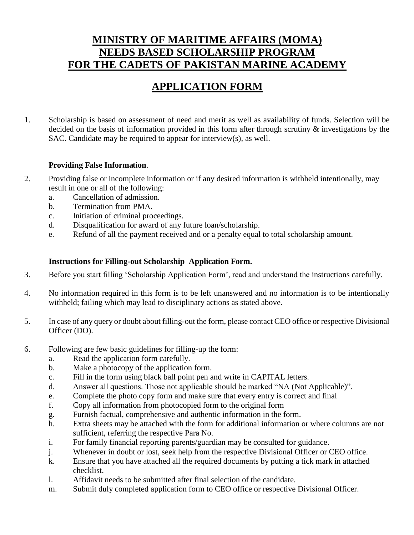# **MINISTRY OF MARITIME AFFAIRS (MOMA) NEEDS BASED SCHOLARSHIP PROGRAM FOR THE CADETS OF PAKISTAN MARINE ACADEMY**

# **APPLICATION FORM**

1. Scholarship is based on assessment of need and merit as well as availability of funds. Selection will be decided on the basis of information provided in this form after through scrutiny & investigations by the SAC. Candidate may be required to appear for interview(s), as well.

### **Providing False Information**.

- 2. Providing false or incomplete information or if any desired information is withheld intentionally, may result in one or all of the following:
	- a. Cancellation of admission.
	- b. Termination from PMA.
	- c. Initiation of criminal proceedings.
	- d. Disqualification for award of any future loan/scholarship.
	- e. Refund of all the payment received and or a penalty equal to total scholarship amount.

### **Instructions for Filling-out Scholarship Application Form.**

- 3. Before you start filling 'Scholarship Application Form', read and understand the instructions carefully.
- 4. No information required in this form is to be left unanswered and no information is to be intentionally withheld; failing which may lead to disciplinary actions as stated above.
- 5. In case of any query or doubt about filling-out the form, please contact CEO office or respective Divisional Officer (DO).
- 6. Following are few basic guidelines for filling-up the form:
	- a. Read the application form carefully.
	- b. Make a photocopy of the application form.
	- c. Fill in the form using black ball point pen and write in CAPITAL letters.
	- d. Answer all questions. Those not applicable should be marked "NA (Not Applicable)".
	- e. Complete the photo copy form and make sure that every entry is correct and final
	- f. Copy all information from photocopied form to the original form
	- g. Furnish factual, comprehensive and authentic information in the form.
	- h. Extra sheets may be attached with the form for additional information or where columns are not sufficient, referring the respective Para No.
	- i. For family financial reporting parents/guardian may be consulted for guidance.
	- j. Whenever in doubt or lost, seek help from the respective Divisional Officer or CEO office.
	- k. Ensure that you have attached all the required documents by putting a tick mark in attached checklist.
	- l. Affidavit needs to be submitted after final selection of the candidate.
	- m. Submit duly completed application form to CEO office or respective Divisional Officer.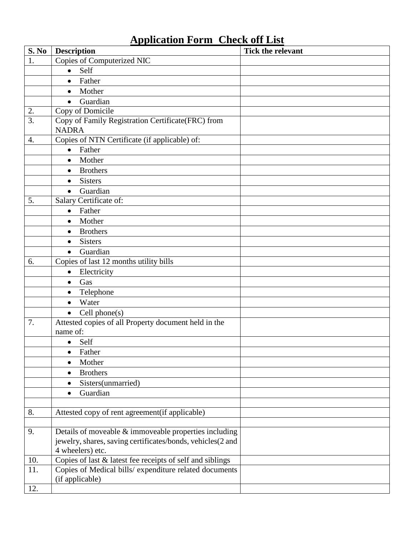# **Application Form Check off List**

| S. No            | <b>Description</b>                                                                                                  | Tick the relevant |
|------------------|---------------------------------------------------------------------------------------------------------------------|-------------------|
| 1.               | <b>Copies of Computerized NIC</b>                                                                                   |                   |
|                  | Self<br>$\bullet$                                                                                                   |                   |
|                  | Father<br>$\bullet$                                                                                                 |                   |
|                  | Mother<br>$\bullet$                                                                                                 |                   |
|                  | Guardian<br>$\bullet$                                                                                               |                   |
| 2.               | Copy of Domicile                                                                                                    |                   |
| $\overline{3}$ . | Copy of Family Registration Certificate(FRC) from                                                                   |                   |
|                  | <b>NADRA</b>                                                                                                        |                   |
| $\overline{4}$ . | Copies of NTN Certificate (if applicable) of:                                                                       |                   |
|                  | Father<br>$\bullet$                                                                                                 |                   |
|                  | Mother<br>$\bullet$                                                                                                 |                   |
|                  | <b>Brothers</b><br>$\bullet$                                                                                        |                   |
|                  | <b>Sisters</b><br>$\bullet$                                                                                         |                   |
|                  | Guardian<br>$\bullet$                                                                                               |                   |
| 5.               | Salary Certificate of:                                                                                              |                   |
|                  | Father<br>$\bullet$                                                                                                 |                   |
|                  | Mother<br>$\bullet$                                                                                                 |                   |
|                  | <b>Brothers</b><br>$\bullet$                                                                                        |                   |
|                  | <b>Sisters</b><br>$\bullet$                                                                                         |                   |
|                  | Guardian<br>$\bullet$                                                                                               |                   |
| 6.               | Copies of last 12 months utility bills                                                                              |                   |
|                  | Electricity<br>$\bullet$                                                                                            |                   |
|                  | Gas<br>$\bullet$                                                                                                    |                   |
|                  | Telephone<br>$\bullet$                                                                                              |                   |
|                  | Water<br>$\bullet$                                                                                                  |                   |
|                  | Cell phone(s)<br>$\bullet$                                                                                          |                   |
| 7.               | Attested copies of all Property document held in the                                                                |                   |
|                  | name of:                                                                                                            |                   |
|                  | Self<br>$\bullet$                                                                                                   |                   |
|                  | Father<br>$\bullet$                                                                                                 |                   |
|                  | Mother<br>$\bullet$                                                                                                 |                   |
|                  | <b>Brothers</b><br>$\bullet$                                                                                        |                   |
|                  | Sisters(unmarried)<br>$\bullet$                                                                                     |                   |
|                  | Guardian<br>$\bullet$                                                                                               |                   |
|                  |                                                                                                                     |                   |
| 8.               | Attested copy of rent agreement (if applicable)                                                                     |                   |
|                  |                                                                                                                     |                   |
| 9.               | Details of moveable & immoveable properties including                                                               |                   |
|                  | jewelry, shares, saving certificates/bonds, vehicles(2 and                                                          |                   |
|                  | 4 wheelers) etc.                                                                                                    |                   |
| 10.<br>11.       | Copies of last & latest fee receipts of self and siblings<br>Copies of Medical bills/ expenditure related documents |                   |
|                  | (if applicable)                                                                                                     |                   |
| 12.              |                                                                                                                     |                   |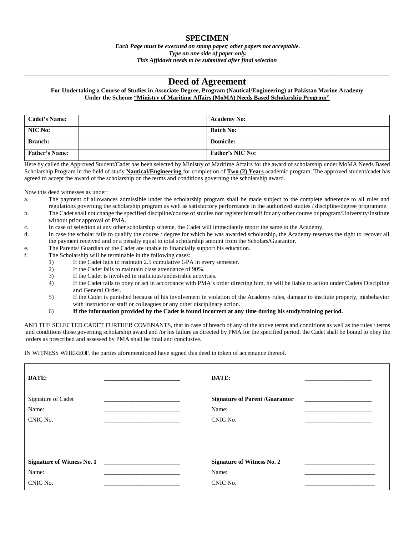#### **SPECIMEN**

*Each Page must be executed on stamp paper; other papers not acceptable. Type on one side of paper only. This Affidavit needs to be submitted after final selection*

#### \_\_\_\_\_\_\_\_\_\_\_\_\_\_\_\_\_\_\_\_\_\_\_\_\_\_\_\_\_\_\_\_\_\_\_\_\_\_\_\_\_\_\_\_\_\_\_\_\_\_\_\_\_\_\_\_\_\_\_\_\_\_\_\_\_\_\_\_\_\_\_\_\_\_\_\_\_\_\_\_\_\_\_\_\_\_\_\_\_\_\_\_\_\_\_\_\_\_\_\_\_\_\_\_\_\_\_\_\_\_\_\_\_\_\_\_\_\_\_\_ **Deed of Agreement**

#### **For Undertaking a Course of Studies in Associate Degree, Program (Nautical/Engineering) at Pakistan Marine Academy Under the Scheme "Ministry of Maritime Affairs (MoMA) Needs Based Scholarship Program"**

| <b>Cadet's Name:</b>  | <b>Academy No:</b>      |
|-----------------------|-------------------------|
| NIC No:               | <b>Batch No:</b>        |
| <b>Branch:</b>        | <b>Domicile:</b>        |
| <b>Father's Name:</b> | <b>Father's NIC No:</b> |

Here by called the Approved Student/Cadet has been selected by Ministry of Maritime Affairs for the award of scholarship under MoMA Needs Based Scholarship Program in the field of study **Nautical/Engineering** for completion of **Two (2) Years** academic program. The approved student/cadet has agreed to accept the award of the scholarship on the terms and conditions governing the scholarship award.

Now this deed witnesses as under:

- a. The payment of allowances admissible under the scholarship program shall be made subject to the complete adherence to all rules and regulations governing the scholarship program as well as satisfactory performance in the authorized studies / discipline/degree programme.
- b. The Cadet shall not change the specified discipline/course of studies nor register himself for any other course or program/University/Institute without prior approval of PMA.
- c. In case of selection at any other scholarship scheme, the Cadet will immediately report the same to the Academy.
- d. In case the scholar fails to qualify the course / degree for which he was awarded scholarship, the Academy reserves the right to recover all the payment received and or a penalty equal to total scholarship amount from the Scholars/Guarantor.
- e. The Parents/ Guardian of the Cadet are unable to financially support his education.
- f. The Scholarship will be terminable in the following cases:
	- 1) If the Cadet fails to maintain 2.5 cumulative GPA in every semester.
	- 2) If the Cadet fails to maintain class attendance of 90%.
	- 3) If the Cadet is involved in malicious/undesirable activities.
	- 4) If the Cadet fails to obey or act in accordance with PMA's order directing him, he will be liable to action under Cadets Discipline and General Order.
	- 5) If the Cadet is punished because of his involvement in violation of the Academy rules, damage to institute property, misbehavior with instructor or staff or colleagues or any other disciplinary action.

#### 6) **If the information provided by the Cadet is found incorrect at any time during his study/training period.**

AND THE SELECTED CADET FURTHER COVENANTS, that in case of breach of any of the above terms and conditions as well as the rules / terms and conditions those governing scholarship award and /or his failure as directed by PMA for the specified period, the Cadet shall be bound to obey the orders as prescribed and assessed by PMA shall be final and conclusive.

IN WITNESS WHEREOF, the parties aforementioned have signed this deed in token of acceptance thereof.

| DATE:                                   | DATE:                                                      |
|-----------------------------------------|------------------------------------------------------------|
| Signature of Cadet<br>Name:<br>CNIC No. | <b>Signature of Parent /Guarantor</b><br>Name:<br>CNIC No. |
| <b>Signature of Witness No. 1</b>       | <b>Signature of Witness No. 2</b>                          |
| Name:                                   | Name:                                                      |
| CNIC No.                                | CNIC No.                                                   |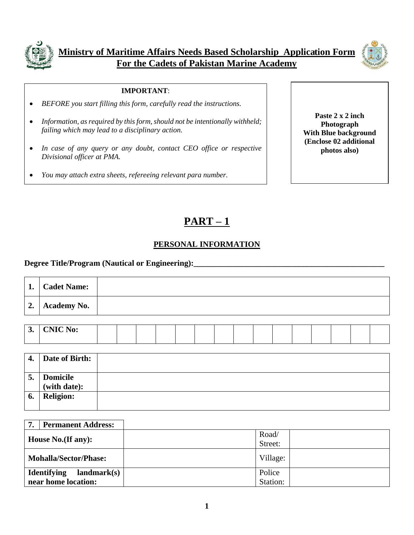



#### **IMPORTANT**:

- *BEFORE you start filling this form, carefully read the instructions.*
- *Information, as required by this form, should not be intentionally withheld; failing which may lead to a disciplinary action.*
- *In case of any query or any doubt, contact CEO office or respective Divisional officer at PMA.*
- *You may attach extra sheets, refereeing relevant para number.*

**Paste 2 x 2 inch Photograph With Blue background (Enclose 02 additional photos also)**

# **PART – 1**

### **PERSONAL INFORMATION**

#### **Degree Title/Program (Nautical or Engineering):**

| 1. | <b>Cadet Name:</b>           |  |
|----|------------------------------|--|
|    | $\vert 2. \vert$ Academy No. |  |
|    |                              |  |

| ູ | <b>CNIC No:</b> |  |  |  |  |  |  |  |  |
|---|-----------------|--|--|--|--|--|--|--|--|
|   |                 |  |  |  |  |  |  |  |  |

| 4. | <b>Date of Birth:</b>           |  |
|----|---------------------------------|--|
| 5. | <b>Domicile</b><br>(with date): |  |
| 6. | <b>Religion:</b>                |  |

| <b>Permanent Address:</b><br>7.   |          |  |
|-----------------------------------|----------|--|
| House No. (If any):               | Road/    |  |
|                                   | Street:  |  |
| <b>Mohalla/Sector/Phase:</b>      | Village: |  |
| <b>Identifying</b><br>landmark(s) | Police   |  |
| near home location:               | Station: |  |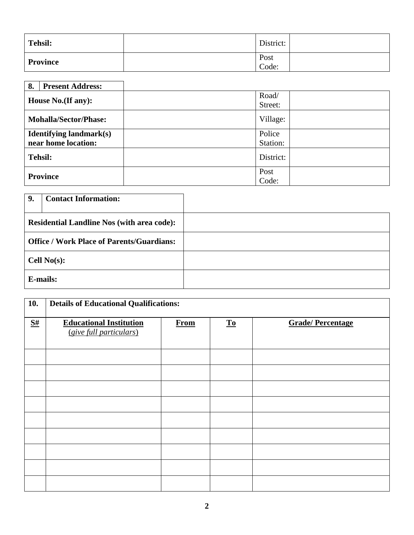| Tehsil:  | District:     |  |
|----------|---------------|--|
| Province | Post<br>Code: |  |

| 8.<br><b>Present Address:</b>  |           |
|--------------------------------|-----------|
| House No.(If any):             | Road/     |
|                                | Street:   |
| <b>Mohalla/Sector/Phase:</b>   | Village:  |
| <b>Identifying landmark(s)</b> | Police    |
| near home location:            | Station:  |
| <b>Tehsil:</b>                 | District: |
| <b>Province</b>                | Post      |
|                                | Code:     |

| 9.                                                | <b>Contact Information:</b> |  |
|---------------------------------------------------|-----------------------------|--|
| <b>Residential Landline Nos (with area code):</b> |                             |  |
| <b>Office / Work Place of Parents/Guardians:</b>  |                             |  |
| Cell $No(s)$ :                                    |                             |  |
|                                                   | <b>E-mails:</b>             |  |

| 10. | <b>Details of Educational Qualifications:</b>             |             |                           |                         |  |  |  |  |  |  |
|-----|-----------------------------------------------------------|-------------|---------------------------|-------------------------|--|--|--|--|--|--|
| S#  | <b>Educational Institution</b><br>(give full particulars) | <b>From</b> | $\underline{\mathbf{To}}$ | <b>Grade/Percentage</b> |  |  |  |  |  |  |
|     |                                                           |             |                           |                         |  |  |  |  |  |  |
|     |                                                           |             |                           |                         |  |  |  |  |  |  |
|     |                                                           |             |                           |                         |  |  |  |  |  |  |
|     |                                                           |             |                           |                         |  |  |  |  |  |  |
|     |                                                           |             |                           |                         |  |  |  |  |  |  |
|     |                                                           |             |                           |                         |  |  |  |  |  |  |
|     |                                                           |             |                           |                         |  |  |  |  |  |  |
|     |                                                           |             |                           |                         |  |  |  |  |  |  |
|     |                                                           |             |                           |                         |  |  |  |  |  |  |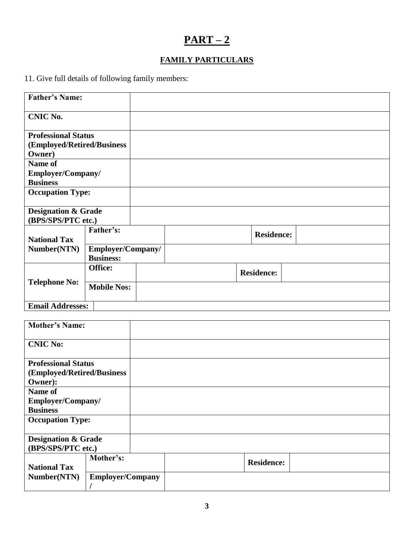# **PART – 2**

# **FAMILY PARTICULARS**

11. Give full details of following family members:

| <b>Father's Name:</b>                                              |                    |  |                   |  |
|--------------------------------------------------------------------|--------------------|--|-------------------|--|
| <b>CNIC No.</b>                                                    |                    |  |                   |  |
| <b>Professional Status</b><br>(Employed/Retired/Business<br>Owner) |                    |  |                   |  |
| Name of                                                            |                    |  |                   |  |
| Employer/Company/                                                  |                    |  |                   |  |
| <b>Business</b>                                                    |                    |  |                   |  |
| <b>Occupation Type:</b>                                            |                    |  |                   |  |
| <b>Designation &amp; Grade</b>                                     |                    |  |                   |  |
| (BPS/SPS/PTC etc.)                                                 |                    |  |                   |  |
| <b>National Tax</b>                                                | Father's:          |  | <b>Residence:</b> |  |
| Number(NTN)                                                        | Employer/Company/  |  |                   |  |
|                                                                    | <b>Business:</b>   |  |                   |  |
|                                                                    | Office:            |  | <b>Residence:</b> |  |
| <b>Telephone No:</b>                                               | <b>Mobile Nos:</b> |  |                   |  |
| <b>Email Addresses:</b>                                            |                    |  |                   |  |

| <b>Mother's Name:</b>                                |                         |  |                   |
|------------------------------------------------------|-------------------------|--|-------------------|
| <b>CNIC No:</b>                                      |                         |  |                   |
| <b>Professional Status</b>                           |                         |  |                   |
| (Employed/Retired/Business                           |                         |  |                   |
| Owner):                                              |                         |  |                   |
| Name of                                              |                         |  |                   |
| Employer/Company/                                    |                         |  |                   |
| <b>Business</b>                                      |                         |  |                   |
| <b>Occupation Type:</b>                              |                         |  |                   |
| <b>Designation &amp; Grade</b><br>(BPS/SPS/PTC etc.) |                         |  |                   |
| <b>National Tax</b>                                  | Mother's:               |  | <b>Residence:</b> |
| Number(NTN)                                          | <b>Employer/Company</b> |  |                   |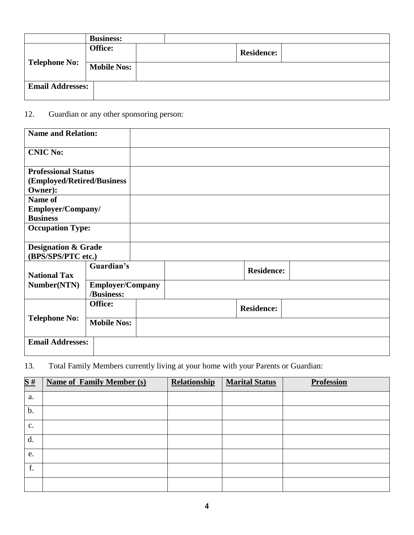|                         | <b>Business:</b>   |                   |  |
|-------------------------|--------------------|-------------------|--|
|                         | Office:            | <b>Residence:</b> |  |
| <b>Telephone No:</b>    | <b>Mobile Nos:</b> |                   |  |
| <b>Email Addresses:</b> |                    |                   |  |

# 12. Guardian or any other sponsoring person:

| <b>Name and Relation:</b>                            |                                       |  |                   |  |
|------------------------------------------------------|---------------------------------------|--|-------------------|--|
| <b>CNIC No:</b>                                      |                                       |  |                   |  |
| <b>Professional Status</b>                           |                                       |  |                   |  |
| (Employed/Retired/Business                           |                                       |  |                   |  |
| Owner):                                              |                                       |  |                   |  |
| Name of                                              |                                       |  |                   |  |
| Employer/Company/                                    |                                       |  |                   |  |
| <b>Business</b>                                      |                                       |  |                   |  |
| <b>Occupation Type:</b>                              |                                       |  |                   |  |
| <b>Designation &amp; Grade</b><br>(BPS/SPS/PTC etc.) |                                       |  |                   |  |
| Guardian's<br><b>National Tax</b>                    |                                       |  | <b>Residence:</b> |  |
| Number(NTN)                                          | <b>Employer/Company</b><br>/Business: |  |                   |  |
|                                                      | Office:                               |  | <b>Residence:</b> |  |
| <b>Telephone No:</b>                                 | <b>Mobile Nos:</b>                    |  |                   |  |
| <b>Email Addresses:</b>                              |                                       |  |                   |  |

# 13. Total Family Members currently living at your home with your Parents or Guardian:

| $\frac{1}{2}$ | <b>Name of Family Member (s)</b> | Relationship | <b>Marital Status</b> | <b>Profession</b> |
|---------------|----------------------------------|--------------|-----------------------|-------------------|
| a.            |                                  |              |                       |                   |
| b.            |                                  |              |                       |                   |
| $C_{\bullet}$ |                                  |              |                       |                   |
| d.            |                                  |              |                       |                   |
| e.            |                                  |              |                       |                   |
| f.            |                                  |              |                       |                   |
|               |                                  |              |                       |                   |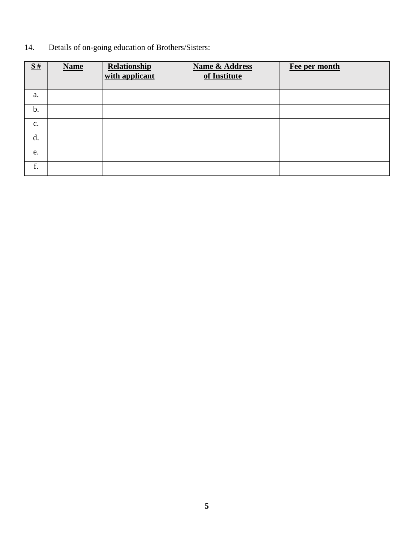14. Details of on-going education of Brothers/Sisters:

| $\underline{\mathbf{S}}$ # | <b>Name</b> | Relationship<br>with applicant | <b>Name &amp; Address</b><br>of Institute | Fee per month |
|----------------------------|-------------|--------------------------------|-------------------------------------------|---------------|
| a.                         |             |                                |                                           |               |
| b.                         |             |                                |                                           |               |
| $\mathbf{C}$ .             |             |                                |                                           |               |
| d.                         |             |                                |                                           |               |
| e.                         |             |                                |                                           |               |
| f.                         |             |                                |                                           |               |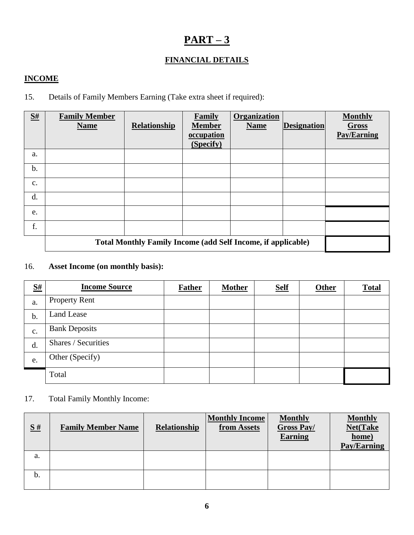# **PART – 3**

# **FINANCIAL DETAILS**

### **INCOME**

### 15. Details of Family Members Earning (Take extra sheet if required):

| S# | <b>Family Member</b><br><b>Name</b>                                 | <b>Relationship</b> | Family<br><b>Member</b><br>occupation<br>(Specify) | <b>Organization</b><br><b>Name</b> | <b>Designation</b> | <b>Monthly</b><br>Gross<br><b>Pay/Earning</b> |
|----|---------------------------------------------------------------------|---------------------|----------------------------------------------------|------------------------------------|--------------------|-----------------------------------------------|
| a. |                                                                     |                     |                                                    |                                    |                    |                                               |
| b. |                                                                     |                     |                                                    |                                    |                    |                                               |
| c. |                                                                     |                     |                                                    |                                    |                    |                                               |
| d. |                                                                     |                     |                                                    |                                    |                    |                                               |
| e. |                                                                     |                     |                                                    |                                    |                    |                                               |
| f. |                                                                     |                     |                                                    |                                    |                    |                                               |
|    | <b>Total Monthly Family Income (add Self Income, if applicable)</b> |                     |                                                    |                                    |                    |                                               |

### 16. **Asset Income (on monthly basis):**

| S# | <b>Income Source</b> | <b>Father</b> | <b>Mother</b> | <b>Self</b> | <b>Other</b> | <b>Total</b> |
|----|----------------------|---------------|---------------|-------------|--------------|--------------|
| a. | <b>Property Rent</b> |               |               |             |              |              |
| b. | Land Lease           |               |               |             |              |              |
| c. | <b>Bank Deposits</b> |               |               |             |              |              |
| d. | Shares / Securities  |               |               |             |              |              |
| e. | Other (Specify)      |               |               |             |              |              |
|    | Total                |               |               |             |              |              |

## 17. Total Family Monthly Income:

| $\underline{\mathbf{S}}$ # | <b>Family Member Name</b> | Relationship | <b>Monthly Income</b><br>from Assets | <b>Monthly</b><br><b>Gross Pay/</b><br><b>Earning</b> | <b>Monthly</b><br><b>Net(Take</b><br>home)<br><b>Pay/Earning</b> |
|----------------------------|---------------------------|--------------|--------------------------------------|-------------------------------------------------------|------------------------------------------------------------------|
| a.                         |                           |              |                                      |                                                       |                                                                  |
| b.                         |                           |              |                                      |                                                       |                                                                  |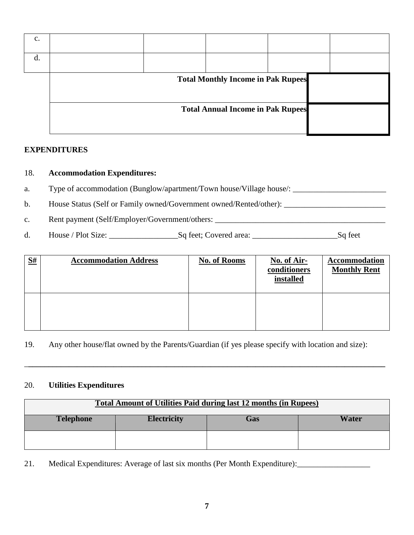| c. |  |                                           |  |
|----|--|-------------------------------------------|--|
|    |  |                                           |  |
|    |  | <b>Total Monthly Income in Pak Rupees</b> |  |
|    |  | <b>Total Annual Income in Pak Rupees</b>  |  |

### **EXPENDITURES**

### 18. **Accommodation Expenditures:**

a. Type of accommodation (Bunglow/apartment/Town house/Village house/: \_\_\_\_\_\_\_\_\_\_\_\_\_\_\_\_\_\_\_\_\_\_\_

b. House Status (Self or Family owned/Government owned/Rented/other): \_\_\_\_\_\_\_\_\_\_\_\_\_\_\_\_\_\_\_\_\_\_\_\_\_

c. Rent payment (Self/Employer/Government/others:

d. House / Plot Size: \_\_\_\_\_\_\_\_\_\_\_\_\_\_\_\_\_Sq feet; Covered area: \_\_\_\_\_\_\_\_\_\_\_\_\_\_\_\_\_\_\_\_\_Sq feet

| S# | <b>Accommodation Address</b> | <b>No. of Rooms</b> | No. of Air-<br>conditioners<br>installed | <b>Accommodation</b><br><b>Monthly Rent</b> |
|----|------------------------------|---------------------|------------------------------------------|---------------------------------------------|
|    |                              |                     |                                          |                                             |

19. Any other house/flat owned by the Parents/Guardian (if yes please specify with location and size):

\_**\_\_\_\_\_\_\_\_\_\_\_\_\_\_\_\_\_\_\_\_\_\_\_\_\_\_\_\_\_\_\_\_\_\_\_\_\_\_\_\_\_\_\_\_\_\_\_\_\_\_\_\_\_\_\_\_\_\_\_\_\_\_\_\_\_\_\_\_\_\_\_\_\_\_\_\_\_\_\_\_\_\_\_\_\_\_\_\_**

#### 20. **Utilities Expenditures**

| <b>Total Amount of Utilities Paid during last 12 months (in Rupees)</b> |                    |            |              |  |  |  |
|-------------------------------------------------------------------------|--------------------|------------|--------------|--|--|--|
| <b>Telephone</b>                                                        | <b>Electricity</b> | <b>Gas</b> | <b>Water</b> |  |  |  |
|                                                                         |                    |            |              |  |  |  |

21. Medical Expenditures: Average of last six months (Per Month Expenditure):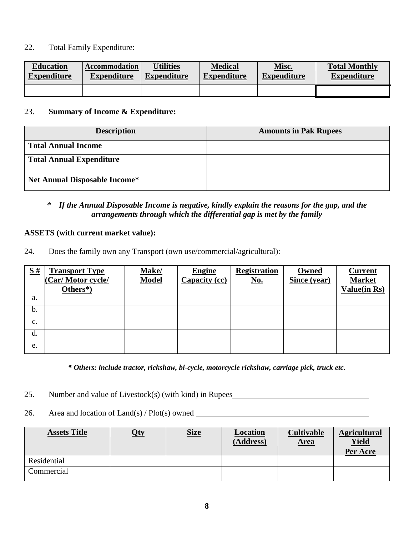### 22. Total Family Expenditure:

| <b>Education</b>   | <b>Accommodation</b> | <b>Utilities</b>   | <b>Medical</b>     | Misc.              | <b>Total Monthly</b> |
|--------------------|----------------------|--------------------|--------------------|--------------------|----------------------|
| <b>Expenditure</b> | <b>Expenditure</b>   | <b>Expenditure</b> | <b>Expenditure</b> | <b>Expenditure</b> | <b>Expenditure</b>   |
|                    |                      |                    |                    |                    |                      |

#### 23. **Summary of Income & Expenditure:**

| <b>Description</b>                   | <b>Amounts in Pak Rupees</b> |
|--------------------------------------|------------------------------|
| <b>Total Annual Income</b>           |                              |
| <b>Total Annual Expenditure</b>      |                              |
| <b>Net Annual Disposable Income*</b> |                              |

### *\* If the Annual Disposable Income is negative, kindly explain the reasons for the gap, and the arrangements through which the differential gap is met by the family*

### **ASSETS (with current market value):**

24. Does the family own any Transport (own use/commercial/agricultural):

| $\underline{\mathbf{S}}$ # | <b>Transport Type</b> | Make/        | <b>Engine</b> | <b>Registration</b> | Owned        | <b>Current</b>      |
|----------------------------|-----------------------|--------------|---------------|---------------------|--------------|---------------------|
|                            | (Car/Motor cycle/     | <b>Model</b> | Capacity (cc) | <u>No.</u>          | Since (year) | <b>Market</b>       |
|                            | Others*)              |              |               |                     |              | <b>Value(in Rs)</b> |
| a.                         |                       |              |               |                     |              |                     |
| b.                         |                       |              |               |                     |              |                     |
| $\mathbf{c}$ .             |                       |              |               |                     |              |                     |
| d.                         |                       |              |               |                     |              |                     |
| e.                         |                       |              |               |                     |              |                     |

*\* Others: include tractor, rickshaw, bi-cycle, motorcycle rickshaw, carriage pick, truck etc.*

- 25. Number and value of Livestock(s) (with kind) in Rupees
- 26. Area and location of  $Land(s)$  /  $Plot(s)$  owned

| <b>Assets Title</b> | <u>Oty</u> | <b>Size</b> | <b>Location</b><br>(Address) | <b>Cultivable</b><br><u>Area</u> | <b>Agricultural</b><br><b>Yield</b><br>Per Acre |
|---------------------|------------|-------------|------------------------------|----------------------------------|-------------------------------------------------|
| Residential         |            |             |                              |                                  |                                                 |
| Commercial          |            |             |                              |                                  |                                                 |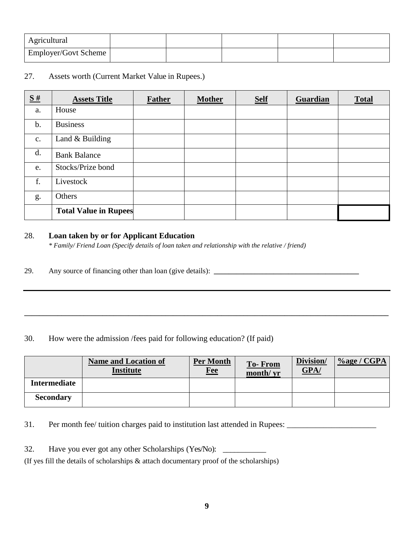| Agricultural         |  |  |  |
|----------------------|--|--|--|
| Employer/Govt Scheme |  |  |  |

### 27. Assets worth (Current Market Value in Rupees.)

| $\underline{\mathbf{S}}$ # | <b>Assets Title</b>          | <b>Father</b> | <b>Mother</b> | <b>Self</b> | Guardian | <b>Total</b> |
|----------------------------|------------------------------|---------------|---------------|-------------|----------|--------------|
| a.                         | House                        |               |               |             |          |              |
| b.                         | <b>Business</b>              |               |               |             |          |              |
| $\mathbf{c}$ .             | Land $&$ Building            |               |               |             |          |              |
| d.                         | <b>Bank Balance</b>          |               |               |             |          |              |
| e.                         | Stocks/Prize bond            |               |               |             |          |              |
| f.                         | Livestock                    |               |               |             |          |              |
| g.                         | Others                       |               |               |             |          |              |
|                            | <b>Total Value in Rupees</b> |               |               |             |          |              |

### 28. **Loan taken by or for Applicant Education**

*\* Family/ Friend Loan (Specify details of loan taken and relationship with the relative / friend)*

29. Any source of financing other than loan (give details): **\_\_\_\_\_\_\_\_\_\_\_\_\_\_\_\_\_\_\_\_\_\_\_\_\_\_\_\_\_\_\_\_\_\_\_\_\_\_\_**

30. How were the admission /fees paid for following education? (If paid)

|                     | <b>Name and Location of</b><br><b>Institute</b> | Per Month<br><b>Fee</b> | <b>To-From</b><br>month/ yr | Division/<br>GPA/ | $%$ age / CGPA |
|---------------------|-------------------------------------------------|-------------------------|-----------------------------|-------------------|----------------|
| <b>Intermediate</b> |                                                 |                         |                             |                   |                |
| <b>Secondary</b>    |                                                 |                         |                             |                   |                |

**\_\_\_\_\_\_\_\_\_\_\_\_\_\_\_\_\_\_\_\_\_\_\_\_\_\_\_\_\_\_\_\_\_\_\_\_\_\_\_\_\_\_\_\_\_\_\_\_\_\_\_\_\_\_\_\_\_\_\_\_\_\_\_\_\_\_\_\_\_\_\_\_\_\_\_\_\_\_\_\_\_\_\_\_\_\_\_\_\_\_\_\_\_\_\_\_\_\_**

31. Per month fee/ tuition charges paid to institution last attended in Rupees: \_\_\_\_\_\_\_\_\_\_\_\_\_\_\_\_\_\_\_\_\_\_

32. Have you ever got any other Scholarships (Yes/No): \_\_\_\_\_\_\_\_\_\_\_\_\_\_\_\_\_\_\_\_\_\_\_\_\_

(If yes fill the details of scholarships & attach documentary proof of the scholarships)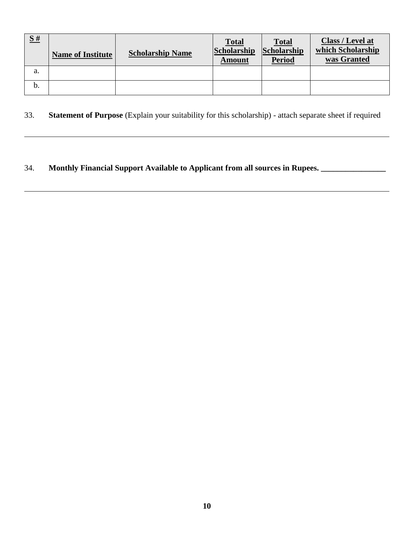| $\underline{\mathbf{S}}$ # | <b>Name of Institute</b> | <b>Scholarship Name</b> | <b>Total</b><br>Scholarship<br>Amount | <b>Total</b><br>Scholarship<br><b>Period</b> | Class / Level at<br>which Scholarship<br>was Granted |
|----------------------------|--------------------------|-------------------------|---------------------------------------|----------------------------------------------|------------------------------------------------------|
| a.                         |                          |                         |                                       |                                              |                                                      |
| b.                         |                          |                         |                                       |                                              |                                                      |

# 33. **Statement of Purpose** (Explain your suitability for this scholarship) - attach separate sheet if required

### 34. **Monthly Financial Support Available to Applicant from all sources in Rupees. \_\_\_\_\_\_\_\_\_\_\_\_\_\_\_\_**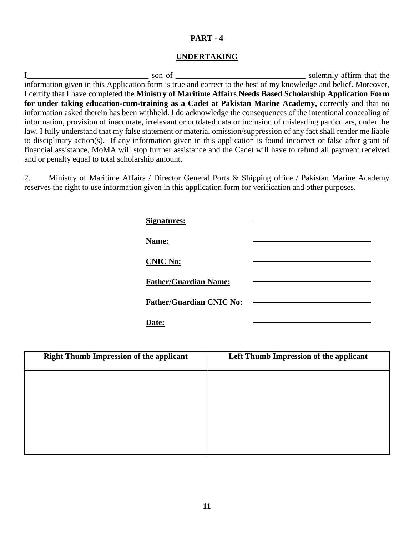#### **UNDERTAKING**

I\_\_\_\_\_\_\_\_\_\_\_\_\_\_\_\_\_\_\_\_\_\_\_\_\_\_\_\_\_\_ son of \_\_\_\_\_\_\_\_\_\_\_\_\_\_\_\_\_\_\_\_\_\_\_\_\_\_\_\_\_\_\_\_ solemnly affirm that the information given in this Application form is true and correct to the best of my knowledge and belief. Moreover, I certify that I have completed the **Ministry of Maritime Affairs Needs Based Scholarship Application Form for under taking education-cum-training as a Cadet at Pakistan Marine Academy,** correctly and that no information asked therein has been withheld. I do acknowledge the consequences of the intentional concealing of information, provision of inaccurate, irrelevant or outdated data or inclusion of misleading particulars, under the law. I fully understand that my false statement or material omission/suppression of any fact shall render me liable to disciplinary action(s). If any information given in this application is found incorrect or false after grant of financial assistance, MoMA will stop further assistance and the Cadet will have to refund all payment received and or penalty equal to total scholarship amount.

2. Ministry of Maritime Affairs / Director General Ports & Shipping office / Pakistan Marine Academy reserves the right to use information given in this application form for verification and other purposes.

| <b>Signatures:</b>              |  |
|---------------------------------|--|
| Name:                           |  |
| <b>CNIC No:</b>                 |  |
| <b>Father/Guardian Name:</b>    |  |
| <b>Father/Guardian CNIC No:</b> |  |
| <b>Date:</b>                    |  |

| <b>Right Thumb Impression of the applicant</b> | Left Thumb Impression of the applicant |
|------------------------------------------------|----------------------------------------|
|                                                |                                        |
|                                                |                                        |
|                                                |                                        |
|                                                |                                        |
|                                                |                                        |
|                                                |                                        |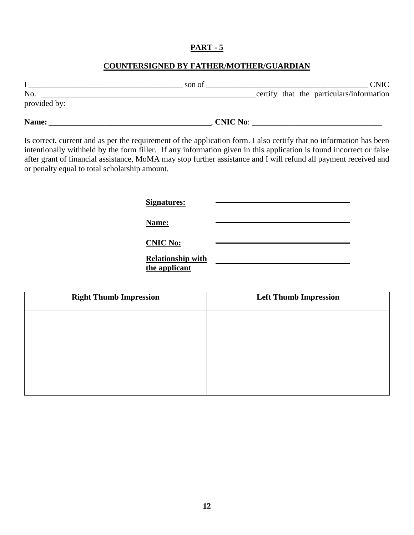### **COUNTERSIGNED BY FATHER/MOTHER/GUARDIAN**

|              | son of          |  | <b>CNIC</b>                              |
|--------------|-----------------|--|------------------------------------------|
| No.          |                 |  | certify that the particulars/information |
| provided by: |                 |  |                                          |
| Name:        | <b>CNIC No:</b> |  |                                          |

Is correct, current and as per the requirement of the application form. I also certify that no information has been intentionally withheld by the form filler. If any information given in this application is found incorrect or false after grant of financial assistance, MoMA may stop further assistance and I will refund all payment received and or penalty equal to total scholarship amount.

**Signatures:**

**Name:**

**CNIC No:**

**Relationship with the applicant**

| <b>Right Thumb Impression</b> | <b>Left Thumb Impression</b> |
|-------------------------------|------------------------------|
|                               |                              |
|                               |                              |
|                               |                              |
|                               |                              |
|                               |                              |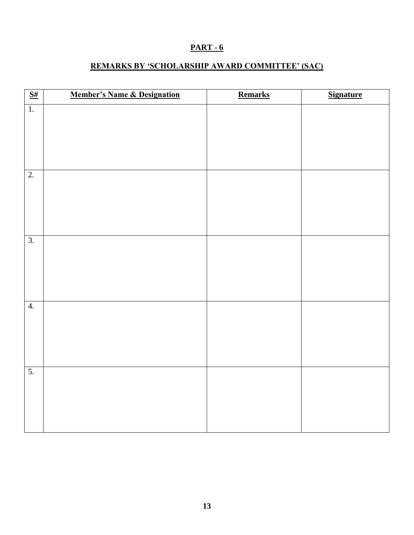## **REMARKS BY 'SCHOLARSHIP AWARD COMMITTEE' (SAC)**

| $\frac{S#}{S}$   | <b>Member's Name &amp; Designation</b> | Remarks | <b>Signature</b> |
|------------------|----------------------------------------|---------|------------------|
| $\overline{1}$ . |                                        |         |                  |
|                  |                                        |         |                  |
|                  |                                        |         |                  |
|                  |                                        |         |                  |
| $\overline{2}$ . |                                        |         |                  |
|                  |                                        |         |                  |
|                  |                                        |         |                  |
|                  |                                        |         |                  |
|                  |                                        |         |                  |
| $\overline{3}$ . |                                        |         |                  |
|                  |                                        |         |                  |
|                  |                                        |         |                  |
|                  |                                        |         |                  |
|                  |                                        |         |                  |
| 4.               |                                        |         |                  |
|                  |                                        |         |                  |
|                  |                                        |         |                  |
|                  |                                        |         |                  |
| $\overline{5}$ . |                                        |         |                  |
|                  |                                        |         |                  |
|                  |                                        |         |                  |
|                  |                                        |         |                  |
|                  |                                        |         |                  |